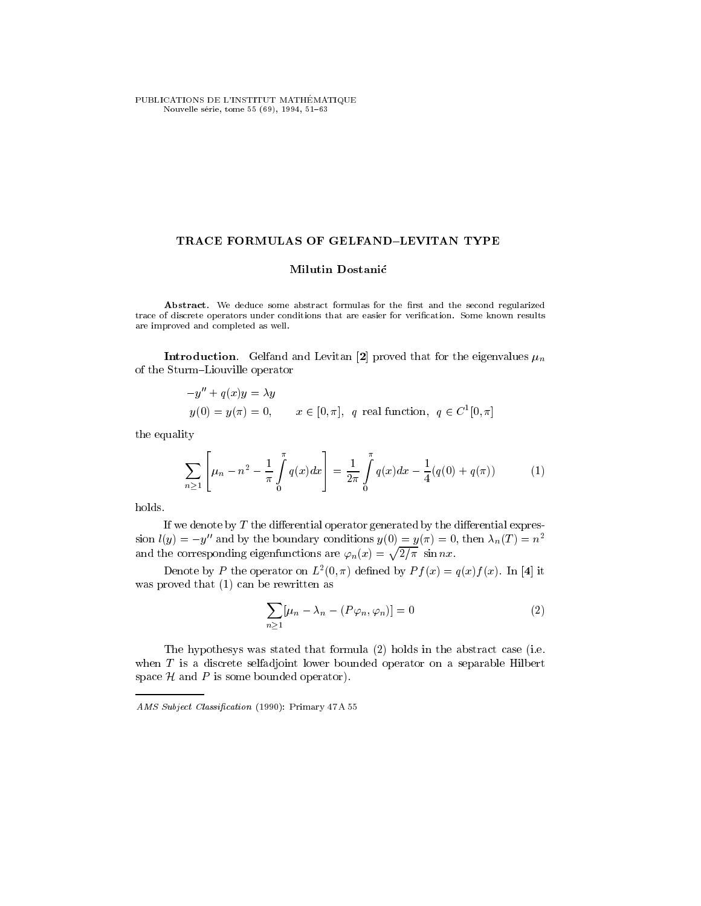PUBLICATIONS DE L'INSTITUT MATHÉMATIQUE Nouvelle série, tome 55 (69), 1994, 51-63

## TRACE FORMULAS OF GELFAND-LEVITAN TYPE

# Milutin Dostanić

Abstract. We deduce some abstract formulas for the first and the second regularized trace of discrete operators under conditions that are easier for verification. Some known results are improved and completed as well.

**Introduction**. Gelfand and Levitan [2] proved that for the eigenvalues  $\mu_n$ of the Sturm-Liouville operator

$$
-y'' + q(x)y = \lambda y
$$
  
y(0) = y(\pi) = 0,  $x \in [0, \pi]$ , q real function,  $q \in C^1[0, \pi]$ 

the equality

$$
\sum_{n\geq 1}\left[\mu_n - n^2 - \frac{1}{\pi} \int_0^{\pi} q(x) dx\right] = \frac{1}{2\pi} \int_0^{\pi} q(x) dx - \frac{1}{4}(q(0) + q(\pi)) \tag{1}
$$

holds.

If we denote by  $T$  the differential operator generated by the differential expression  $l(y) = -y''$  and by the boundary conditions  $y(0) = y(\pi) = 0$ , then  $\lambda_n(T) = n^2$ and the corresponding eigenfunctions are  $\varphi_n(x) = \sqrt{2/\pi} \sin nx$ .

Denote by P the operator on E  $(0, \pi)$  defined by  $Pf(x) = q(x)f(x)$ . In [4] it was proved that (1) can be rewritten as

$$
\sum_{n\geq 1} [\mu_n - \lambda_n - (P\varphi_n, \varphi_n)] = 0 \tag{2}
$$

The hypothesys was stated that formula (2) holds in the abstract case (i.e. when  $T$  is a discrete selfadjoint lower bounded operator on a separable Hilbert space  $H$  and  $P$  is some bounded operator).

AMS Subject Classification (1990): Primary 47 A 55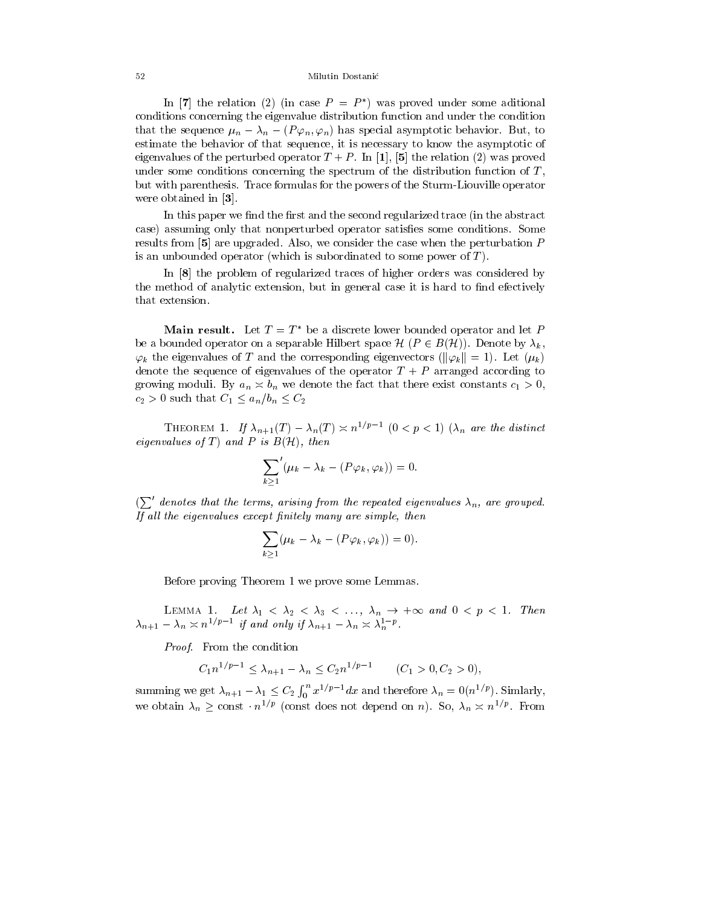#### 52 Milutin Dostanic

In  $|I|$  the relation (2) (in case  $P = P$  ) was proved under some aditional conditions concerning the eigenvalue distribution function and under the condition that the sequence  $\mu_n - \lambda_n - (P \varphi_n, \varphi_n)$  has special asymptotic behavior. But, to estimate the behavior of that sequence, it is necessary to know the asymptotic of eigenvalues of the perturbed operator  $T + P$ . In [1], [5] the relation (2) was proved under some conditions concerning the spectrum of the distribution function of  $T$ . but with parenthesis. Trace formulas for the powers of the Sturm-Liouville operator were obtained in [3].

In this paper we find the first and the second regularized trace (in the abstract case) assuming only that nonperturbed operator satisfies some conditions. Some results from  $\mathfrak{b}$  are upgraded. Also, we consider the case when the perturbation P is an unbounded operator (which is subordinated to some power of  $T$ ).

In [8] the problem of regularized traces of higher orders was considered by the method of analytic extension, but in general case it is hard to find efectively that extension.

**Main result.** Let  $T = T^*$  be a discrete lower bounded operator and let P be a bounded operator on a separable Hilbert space  $\mathcal{H}$   $(P \in B(\mathcal{H}))$ . Denote by  $\lambda_k$ ,  $\varphi_k$  the eigenvalues of T and the corresponding eigenvectors ( $\|\varphi_k\| = 1$ ). Let  $(\mu_k)$ denote the sequence of eigenvalues of the operator  $T + P$  arranged according to growing moduli. By  $a_n \n\times b_n$  we denote the fact that there exist constants  $c_1 > 0$ ,  $c_2 > 0$  such that  $C_1 \leq a_n/b_n \leq C_2$ 

**THEOREM 1.** If  $\lambda_{n+1}(T) = \lambda_n(T) \geq n^{-\gamma}T^{-1}$  ( $0 \leq p \leq 1$ )  $\lambda_n$  are the assumed  $\epsilon$ igenvalues of  $\epsilon$  ) and  $\epsilon$  is  $D(f\epsilon)$ , then

$$
\sum_{k\geq 1}'(\mu_k-\lambda_k-(P\varphi_k,\varphi_k))=0.
$$

 $(\sum'$  denotes that the terms, arising from the repeated eigenvalues  $\lambda_n$ , are grouped. If all the eigenvalues except finitely many are simple, then

$$
\sum_{k\geq 1}(\mu_k-\lambda_k-(P\varphi_k,\varphi_k))=0).
$$

Before proving Theorem 1 we prove some Lemmas.

LEMMA 1. Let  $\lambda_1 \leq \lambda_2 \leq \lambda_3 \leq \ldots$ ,  $\lambda_n \to +\infty$  and  $0 \leq p \leq 1$ . Then  $\lambda_{n+1} - \lambda_n \leq n^{1/p}$  if and only if  $\lambda_{n+1} - \lambda_n \leq \lambda_n^{1/p}$ .

Proof. From the condition

$$
C_1 n^{1/p-1} \le \lambda_{n+1} - \lambda_n \le C_2 n^{1/p-1} \qquad (C_1 > 0, C_2 > 0),
$$

summing we get  $\lambda_{n+1} - \lambda_1 \leq C_2 \int_0^n x^{1/p-1} dx$  and therefore  $\lambda_n = 0(n^{1/p})$ . Simlarly, we obtain  $\lambda_n$  > const  $n^{1/p}$  (const does not depend on n). So,  $\lambda_n \approx n^{1/p}$ . From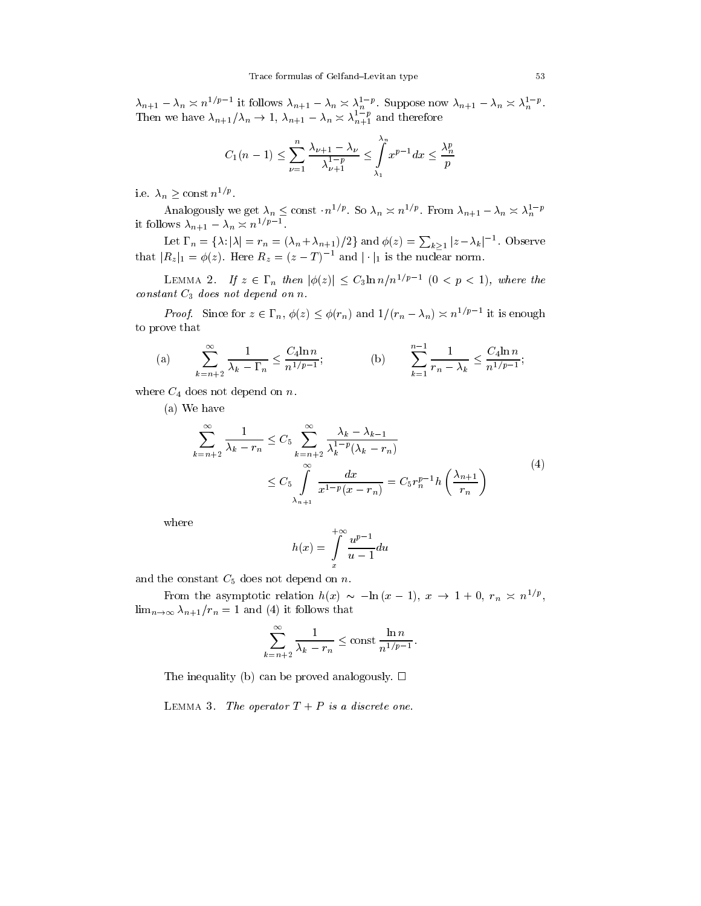$\lambda_{n+1} - \lambda_n \geq n^{1/p}$  It follows  $\lambda_{n+1} - \lambda_n \geq \lambda_n^{1/p}$ . Suppose now  $\lambda_{n+1} - \lambda_n \geq \lambda_n^{1/p}$ . Then we have  $\lambda_{n+1}/\lambda_n \to 1$ ,  $\lambda_{n+1} - \lambda_n \geq \lambda_{n+1}^{-1}$  and therefore

$$
C_{1}(n-1) \leq \sum_{\nu=1}^{n} \frac{\lambda_{\nu+1} - \lambda_{\nu}}{\lambda_{\nu+1}^{1-p}} \leq \int_{\lambda_{1}}^{\lambda_{n}} x^{p-1} dx \leq \frac{\lambda_{n}^{p}}{p}
$$

i.e.  $\lambda_n \geq \text{const } n^{1/p}$ .

Analogously we get  $\lambda_n \leq \text{const} \cdot n^{-\gamma r}$ . So  $\lambda_n \geq n^{-\gamma r}$ . From  $\lambda_{n+1} - \lambda_n \leq \lambda_n^{-r}$ it follows  $\lambda_{n+1} - \lambda_n \asymp n^{1/p-1}$ 

Let  $\Gamma_n = {\lambda : |\lambda| = r_n = (\lambda_n + \lambda_{n+1})/2}$  and  $\phi(z) = \sum_{k \geq 1} |z - \lambda_k|^{-1}$ . Observe that  $|R_z|_1 = \varphi(z)$ . Here  $R_z = (z - 1)$  and j || is the nuclear norm.

LEMMA 2. If  $z \in \Gamma_n$  then  $|\phi(z)| \leq C_3 \ln n/n^{1/p-1}$  ( $0 < p < 1$ ), where the constant C3 does not depend on n.

Proof. Since for  $z \in \Gamma_n$ ,  $\varphi(z) \leq \varphi(r_n)$  and  $1/(r_n - \lambda_n) \leq n^{1/r}$  it is enough to prove that

(a) 
$$
\sum_{k=n+2}^{\infty} \frac{1}{\lambda_k - \Gamma_n} \le \frac{C_4 \ln n}{n^{1/p-1}};
$$
 (b) 
$$
\sum_{k=1}^{n-1} \frac{1}{r_n - \lambda_k} \le \frac{C_4 \ln n}{n^{1/p-1}};
$$

where  $C_4$  does not depend on n.

(a) We have

$$
\sum_{k=n+2}^{\infty} \frac{1}{\lambda_k - r_n} \le C_5 \sum_{k=n+2}^{\infty} \frac{\lambda_k - \lambda_{k-1}}{\lambda_k^{1-p} (\lambda_k - r_n)}
$$
\n
$$
\le C_5 \int\limits_{\lambda_{n+1}}^{\infty} \frac{dx}{x^{1-p} (x - r_n)} = C_5 r_n^{p-1} h\left(\frac{\lambda_{n+1}}{r_n}\right)
$$
\n(4)

where

$$
h(x) = \int\limits_{x}^{+\infty} \frac{u^{p-1}}{u-1} du
$$

and the constant  $C_5$  does not depend on n.

From the asymptotic relation  $n(x) \sim -\ln(x - 1)$ ,  $x \to 1 + 0$ ,  $r_n \approx n^{1/p}$ ,  $\lim_{n\to\infty}\lambda_{n+1}/r_n=1$  and (4) it follows that

$$
\sum_{k=n+2}^{\infty} \frac{1}{\lambda_k - r_n} \le \text{const } \frac{\ln n}{n^{1/p-1}}.
$$

The inequality (b) can be proved analogously.  $\Box$ 

LEMMA 3. The operator  $T + P$  is a discrete one.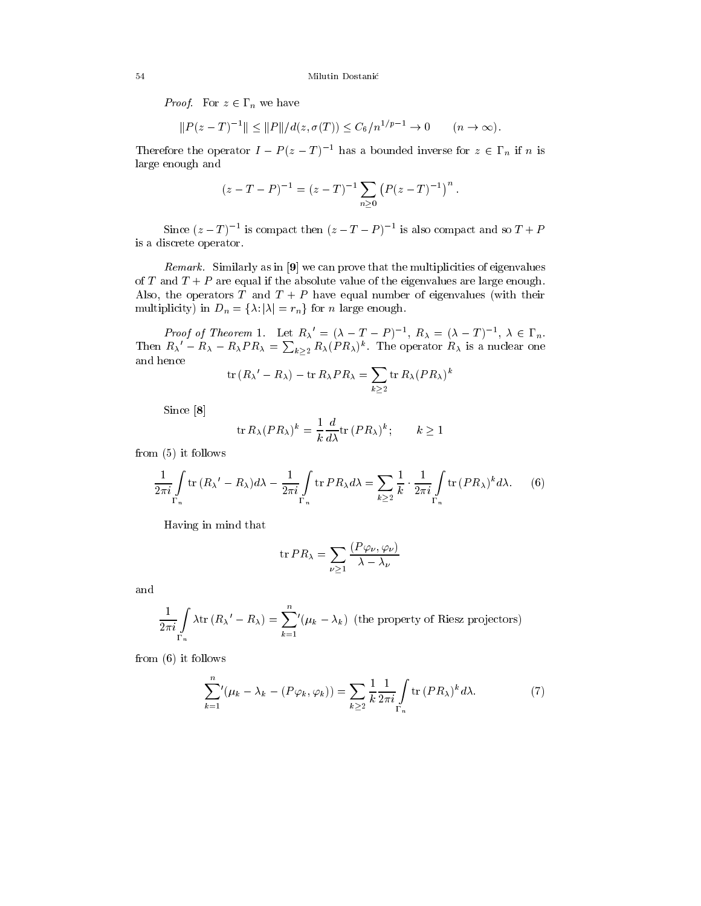*Proof.* For  $z \in P_n$  we have

$$
||P(z-T)^{-1}|| \le ||P||/d(z, \sigma(T)) \le C_6/n^{1/p-1} \to 0 \qquad (n \to \infty).
$$

Therefore the operator  $I - P(z - T)^{-1}$  has a bounded inverse for  $z \in \Gamma_n$  if n is large enough and

$$
(z-T-P)^{-1} = (z-T)^{-1} \sum_{n\geq 0} (P(z-T)^{-1})^n.
$$

Since  $(z - 1)$  is compact then  $(z - 1 - P)$  is also compact and so  $T + P$ is a discrete operator.

Remark. Similarly as in [9] we can prove that the multiplicities of eigenvalues of T and  $T + P$  are equal if the absolute value of the eigenvalues are large enough. Also, the operators  $T$  and  $T + P$  have equal number of eigenvalues (with their multiplicity) in  $D_n = \{\lambda : |\lambda| = r_n\}$  for n large enough.

Proof of Theorem 1. Let  $R_{\lambda} = (\lambda - T - P)^{-1}$ ,  $R_{\lambda} = (\lambda - T)^{-1}$ ,  $\lambda \in \Gamma_n$ . Then  $R_{\lambda}^{\prime}-R_{\lambda}-R_{\lambda}PR_{\lambda}=\sum_{k>2}R_{\lambda}(PR_{\lambda})^k$ . The operator  $R_{\lambda}$  is a nuclear one and hence

$$
\operatorname{tr}(R_\lambda - R_\lambda) - \operatorname{tr} R_\lambda P R_\lambda = \sum_{k \ge 2} \operatorname{tr} R_\lambda (P R_\lambda)^k
$$

Since [8]

$$
\operatorname{tr} R_{\lambda} (PR_{\lambda})^k = \frac{1}{k} \frac{d}{d\lambda} \operatorname{tr} (PR_{\lambda})^k; \qquad k \ge 1
$$

from (5) it follows

$$
\frac{1}{2\pi i} \int\limits_{\Gamma_n} \text{tr}\,(R_\lambda' - R_\lambda)d\lambda - \frac{1}{2\pi i} \int\limits_{\Gamma_n} \text{tr}\,PR_\lambda d\lambda = \sum_{k \ge 2} \frac{1}{k} \cdot \frac{1}{2\pi i} \int\limits_{\Gamma_n} \text{tr}\,(PR_\lambda)^k d\lambda. \tag{6}
$$

Having in mind that

$$
\operatorname{tr} PR_{\lambda} = \sum_{\nu \ge 1} \frac{(P\varphi_{\nu}, \varphi_{\nu})}{\lambda - \lambda_{\nu}}
$$

and

$$
\frac{1}{2\pi i} \int\limits_{\Gamma_n} \lambda \text{tr} \left(R_{\lambda}^{\prime} - R_{\lambda}\right) = \sum_{k=1}^n \left(\mu_k - \lambda_k\right) \text{ (the property of Riesz projectors)}
$$

from (6) it follows

$$
\sum_{k=1}^{n} (\mu_k - \lambda_k - (P\varphi_k, \varphi_k)) = \sum_{k \ge 2} \frac{1}{k} \frac{1}{2\pi i} \int_{\Gamma_n} \text{tr}(PR_\lambda)^k d\lambda. \tag{7}
$$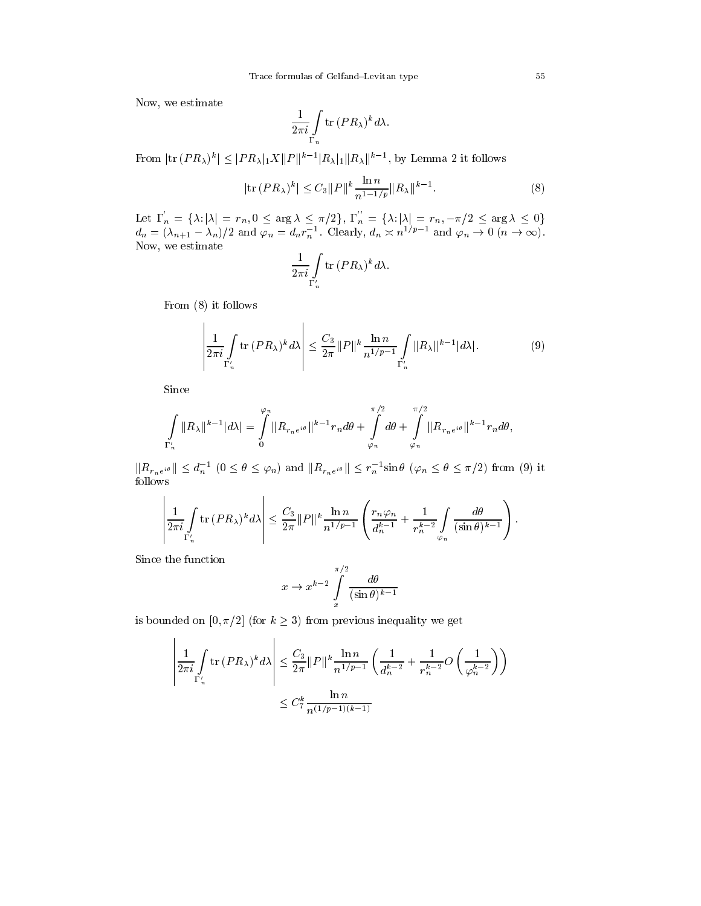Now, we estimate

$$
\frac{1}{2\pi i} \int\limits_{\Gamma_n} \text{tr} \, (PR_\lambda)^k d\lambda.
$$

From  $\|u\|_{\mathcal{F}}R_{\lambda}\| \leq \|F R_{\lambda}\|_{1}\Lambda \|F\| = \|R_{\lambda}\| \|R_{\lambda}\|$ , by Lemma 2 it follows

$$
|\text{tr}(PR_{\lambda})^{k}| \leq C_{3} ||P||^{k} \frac{\ln n}{n^{1-1/p}} ||R_{\lambda}||^{k-1}.
$$
 (8)

Let  $\Gamma_n = {\lambda : |\lambda| = r_n, 0 \leq \arg \lambda \leq \pi/2}, \Gamma_n = {\lambda : |\lambda| = r_n, -\pi/2 \leq \arg \lambda \leq 0}$ Let  $\Gamma'_n = {\lambda : |\lambda| = r_n, 0 \le \arg \lambda \le \pi/2}, \ \Gamma''_n = {\lambda : |\lambda| = r_n, -\pi/2 \le \arg \lambda \le 0}$ <br>  $d_n = (\lambda_{n+1} - \lambda_n)/2$  and  $\varphi_n = d_n r_n^{-1}$ . Clearly,  $d_n \approx n^{1/p-1}$  and  $\varphi_n \to 0 \ (n \to \infty)$ . Now, we estimate

$$
\frac{1}{2\pi i} \int\limits_{\Gamma'_n} \text{tr} \, (PR_\lambda)^k d\lambda.
$$

From (8) it follows

$$
\left|\frac{1}{2\pi i}\int\limits_{\Gamma'_n} \text{tr}\left(PR_{\lambda}\right)^k d\lambda\right| \leq \frac{C_3}{2\pi} \|P\|^k \frac{\ln n}{n^{1/p-1}} \int\limits_{\Gamma'_n} \|R_{\lambda}\|^{k-1} |d\lambda|.
$$
 (9)

Since

$$
\int\limits_{\Gamma'_n}||R_\lambda||^{k-1}|d\lambda| = \int\limits_{0}^{\varphi_n}||R_{r_n e^{i\theta}}||^{k-1}r_nd\theta + \int\limits_{\varphi_n}^{\pi/2}d\theta + \int\limits_{\varphi_n}^{\pi/2}||R_{r_n e^{i\theta}}||^{k-1}r_nd\theta,
$$

 $\tilde{\Gamma}'_n$   $\varphi_n$   $\varphi_n$   $\varphi_n$ <br> $\|\tilde{R}_{r_n e^{i\theta}}\| \leq d_n^{-1}$   $(0 \leq \theta \leq \varphi_n)$  and  $\|\tilde{R}_{r_n e^{i\theta}}\| \leq r_n^{-1} \sin \theta$   $(\varphi_n \leq \theta \leq \pi/2)$  from (9) it follows

$$
\left|\frac{1}{2\pi i}\int\limits_{\Gamma'_n} \mathrm{tr}\, (PR_\lambda)^k d\lambda\right| \leq \frac{C_3}{2\pi} \|P\|^k \frac{\ln n}{n^{1/p-1}} \left(\frac{r_n \varphi_n}{d_n^{k-1}} + \frac{1}{r_n^{k-2}} \int\limits_{\varphi_n} \frac{d\theta}{(\sin \theta)^{k-1}}\right).
$$

Since the function

the contract of the contract of the contract of the contract of the contract of

$$
x \to x^{k-2} \int\limits_{x}^{\pi/2} \frac{d\theta}{(\sin \theta)^{k-1}}
$$

is bounded on  $[0, \pi/2]$  (for  $k \geq 3$ ) from previous inequality we get

$$
\left| \frac{1}{2\pi i} \int_{\Gamma'_n} \text{tr} \left( PR_{\lambda} \right)^k d\lambda \right| \leq \frac{C_3}{2\pi} ||P||^k \frac{\ln n}{n^{1/p-1}} \left( \frac{1}{d_n^{k-2}} + \frac{1}{r_n^{k-2}} O\left(\frac{1}{\varphi_n^{k-2}}\right) \right)
$$
  

$$
\leq C_7^k \frac{\ln n}{n^{(1/p-1)(k-1)}}
$$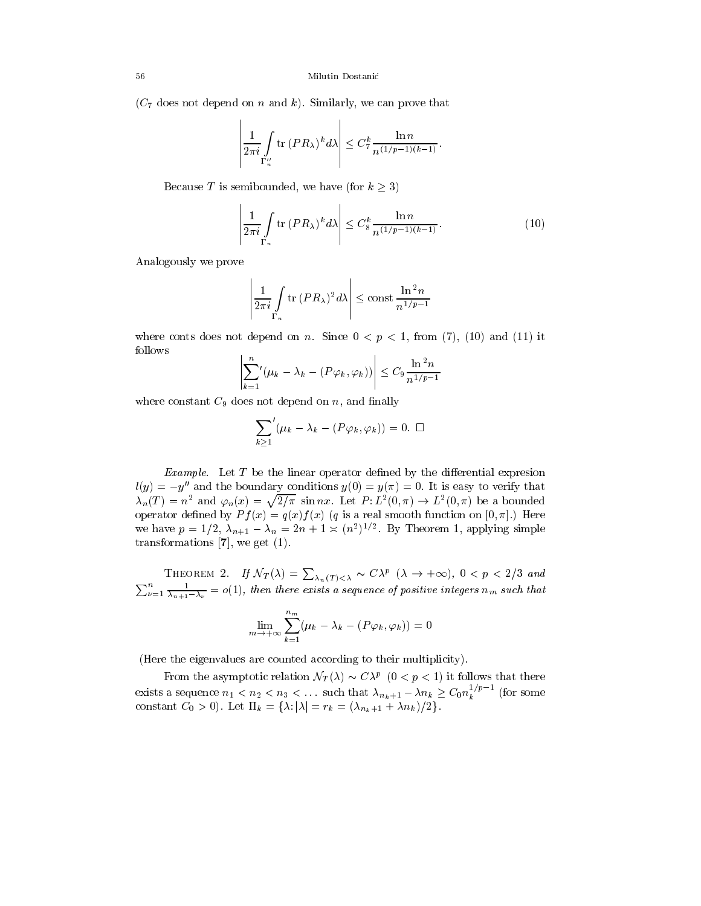$(C_7$  does not depend on n and k). Similarly, we can prove that

$$
\left|\frac{1}{2\pi i}\int\limits_{\Gamma''_n}\mathrm{tr}\, (PR_\lambda)^k d\lambda\right|\leq C_7^k \frac{\ln n}{n^{(1/p-1)(k-1)}}.
$$

and the contract of the contract of the contract of the contract of the contract of the contract of the contract of the contract of the contract of the contract of the contract of the contract of the contract of the contra

Because T is semibounded, we have (for  $k \geq 3$ )

the contract of the contract of the contract of the contract of the contract of

$$
\left|\frac{1}{2\pi i} \int\limits_{\Gamma_n} \text{tr}\,(PR_\lambda)^k d\lambda\right| \leq C_8^k \frac{\ln n}{n^{(1/p-1)(k-1)}}.\tag{10}
$$

Analogously we prove

$$
\left| \frac{1}{2\pi i} \int\limits_{\Gamma_n} \text{tr} \, (PR_\lambda)^2 d\lambda \right| \leq \text{const } \frac{\ln^2 n}{n^{1/p-1}}
$$

where conts does not depend on n. Since  $0 < p < 1$ , from (7), (10) and (11) it follows the contract of the contract of the contract of the contract of the contract of the contract of the contract of the contract of the contract of the contract of

$$
\left| \sum_{k=1}^{n} \left( \mu_k - \lambda_k - (P\varphi_k, \varphi_k) \right) \right| \leq C_9 \frac{\ln^2 n}{n^{1/p - 1}}
$$

where constant  $C_9$  does not depend on n, and finally

the contract of the contract of the contract of the contract of the contract of

$$
\sum_{k\geq 1}'(\mu_k-\lambda_k-(P\varphi_k,\varphi_k))=0.\ \ \Box
$$

Example. Let  $T$  be the linear operator defined by the differential expresion  $l(y) = -y''$  and the boundary conditions  $y(0) = y(\pi) = 0$ . It is easy to verify that  $\lambda_n(T) = n^2$  and  $\varphi_n(x) = \sqrt{2/\pi} \sin nx$ . Let  $P: L^2(0, \pi) \to L^2(0, \pi)$  be a bounded operator defined by  $Pf(x) = q(x)f(x)$  (q is a real smooth function on [0,  $\pi$ ].) Here we have  $p = 1/2$ ,  $\lambda_{n+1} - \lambda_n = 2n + 1 \ge (n^2)^2$ . By Theorem 1, applying simple transformations  $[7]$ , we get  $(1)$ .

THEOREM 2. If  $\mathcal{N}_T(\lambda) = \sum_{\lambda_n(T) < \lambda} \sim C \lambda^p \, (\lambda \to +\infty)$ ,  $0 < p < 2/3$  and  $\blacksquare^n$  $\mu=1$   $\overline{\lambda_{n+1}-\lambda_{\nu}}=o(1)$ , then there exists a sequence of positive integers  $n_m$  such that

$$
\lim_{m \to +\infty} \sum_{k=1}^{n_m} (\mu_k - \lambda_k - (P\varphi_k, \varphi_k)) = 0
$$

(Here the eigenvalues are counted according to their multiplicity).

From the asymptotic relation  $\mathcal{N}_T(\lambda) \sim C \lambda^p$  ( $0 \leq p \leq 1$ ) it follows that there exists a sequence  $n_1 < n_2 < n_3 < \ldots$  such that  $\lambda_{n_k+1} - \lambda n_k \geq C_0 n_k^{1/r}$  (for some constant  $C_0 > 0$ ). Let  $\Pi_k = {\lambda : |\lambda| = r_k = (\lambda_{n_k+1} + \lambda n_k)/2}.$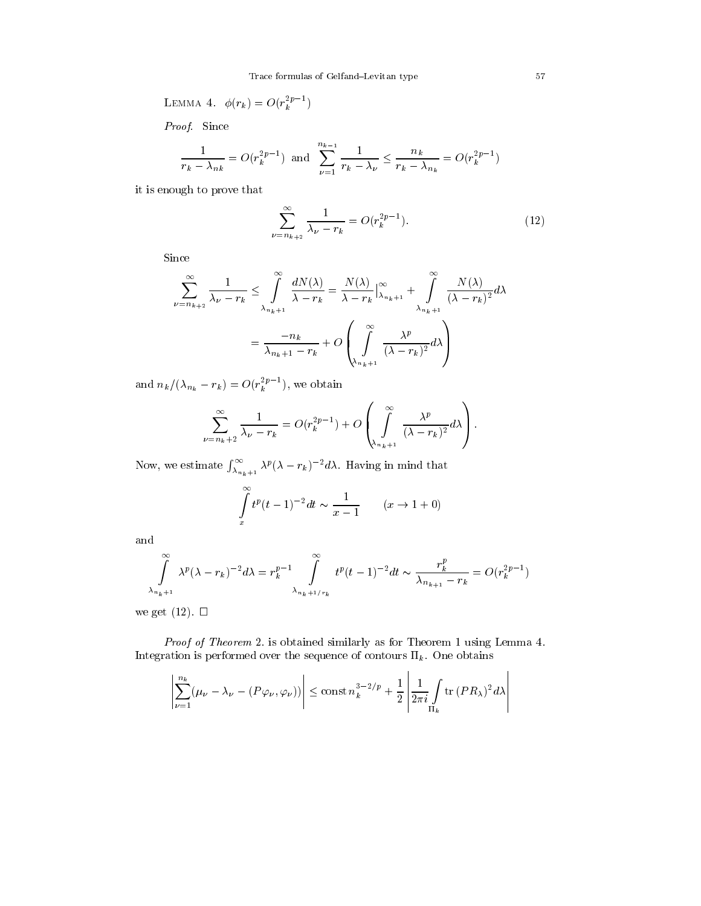LEMMA 4. 
$$
\phi(r_k) = O(r_k^{2p-1})
$$

Proof. Since

$$
\frac{1}{r_k - \lambda_{nk}} = O(r_k^{2p-1}) \text{ and } \sum_{\nu=1}^{n_{k-1}} \frac{1}{r_k - \lambda_{\nu}} \le \frac{n_k}{r_k - \lambda_{n_k}} = O(r_k^{2p-1})
$$

it is enough to prove that

$$
\sum_{\nu=n_{k+2}}^{\infty} \frac{1}{\lambda_{\nu} - r_k} = O(r_k^{2p-1}).
$$
\n(12)

Since

$$
\sum_{\nu=n_{k+2}}^{\infty} \frac{1}{\lambda_{\nu} - r_{k}} \leq \int_{\lambda_{n_{k}+1}}^{\infty} \frac{dN(\lambda)}{\lambda - r_{k}} = \frac{N(\lambda)}{\lambda - r_{k}} \Big|_{\lambda_{n_{k}+1}}^{\infty} + \int_{\lambda_{n_{k}+1}}^{\infty} \frac{N(\lambda)}{(\lambda - r_{k})^{2}} d\lambda
$$

$$
= \frac{-n_{k}}{\lambda_{n_{k}+1} - r_{k}} + O\left(\int_{\lambda_{n_{k}+1}}^{\infty} \frac{\lambda^{p}}{(\lambda - r_{k})^{2}} d\lambda\right)
$$

and  $n_k/(\lambda_{n_k} - r_k) = O(r_k^{r-1})$ , we obtain

$$
\sum_{\nu=n_k+2}^{\infty}\frac{1}{\lambda_{\nu}-r_k}=O(r_k^{2p-1})+O\left(\int\limits_{\lambda_{n_k+1}}^{\infty}\frac{\lambda^p}{(\lambda-r_k)^2}d\lambda\right).
$$

Now, we estimate  $\int_{\lambda_{n_k+1}}^{\infty} \lambda^p (\lambda - r_k)^{-2} d\lambda$ . Having in mind that

$$
\int_{x}^{\infty} t^{p} (t-1)^{-2} dt \sim \frac{1}{x-1} \qquad (x \to 1+0)
$$

and

$$
\int_{\lambda_{n_k+1}}^{\infty} \lambda^p (\lambda - r_k)^{-2} d\lambda = r_k^{p-1} \int_{\lambda_{n_k+1/r_k}}^{\infty} t^p (t-1)^{-2} dt \sim \frac{r_k^p}{\lambda_{n_{k+1}} - r_k} = O(r_k^{2p-1})
$$

we get  $(12)$ .  $\Box$ 

Proof of Theorem 2. is obtained similarly as for Theorem 1 using Lemma 4. Integration is performed over the sequence of contours  $\Pi_k$ . One obtains

$$
\left| \sum_{\nu=1}^{n_k} (\mu_\nu - \lambda_\nu - (P\varphi_\nu, \varphi_\nu)) \right| \le \text{const } n_k^{3-2/p} + \frac{1}{2} \left| \frac{1}{2\pi i} \int\limits_{\Pi_k} \text{tr } (PR_\lambda)^2 d\lambda \right|
$$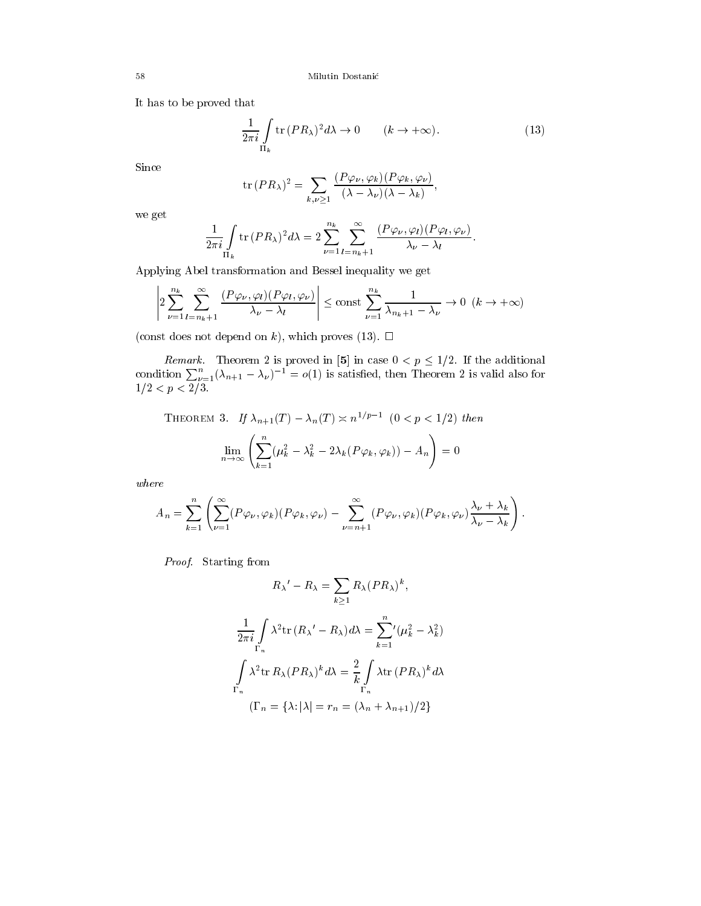It has to be proved that

$$
\frac{1}{2\pi i} \int\limits_{\Pi_k} \text{tr}\,(PR_\lambda)^2 d\lambda \to 0 \qquad (k \to +\infty). \tag{13}
$$

Since

$$
\operatorname{tr}(PR_{\lambda})^2 = \sum_{k,\nu \geq 1} \frac{(P\varphi_{\nu}, \varphi_k)(P\varphi_k, \varphi_{\nu})}{(\lambda - \lambda_{\nu})(\lambda - \lambda_k)},
$$

we get

$$
\frac{1}{2\pi i} \int\limits_{\Pi_k} \text{tr}(PR_\lambda)^2 d\lambda = 2 \sum_{\nu=1}^{n_k} \sum_{l=n_k+1}^{\infty} \frac{(P\varphi_\nu, \varphi_l)(P\varphi_l, \varphi_\nu)}{\lambda_\nu - \lambda_l}.
$$

Applying Abel transformation and Bessel inequality we get

$$
\left|2\sum_{\nu=1}^{n_k}\sum_{l=n_k+1}^{\infty}\frac{(P\varphi_{\nu},\varphi_l)(P\varphi_l,\varphi_{\nu})}{\lambda_{\nu}-\lambda_l}\right| \leq \text{const}\sum_{\nu=1}^{n_k}\frac{1}{\lambda_{n_k+1}-\lambda_{\nu}} \to 0 \ \ (k\to+\infty)
$$

(const does not depend on k), which proves (13).  $\Box$ 

Remark. Theorem 2 is proved in [5] in case  $0 < p \leq 1/2$ . If the additional condition  $\sum_{\nu=1}^n (\lambda_{n+1} - \lambda_{\nu})^{-1} = o(1)$  is satisfied, then Theorem 2 is valid also for  $1$   $1$   $1$   $2$ 

THEOREM 3. If 
$$
\lambda_{n+1}(T) - \lambda_n(T) \asymp n^{1/p-1}
$$
  $(0 < p < 1/2)$  then  

$$
\lim_{n \to \infty} \left( \sum_{k=1}^n (\mu_k^2 - \lambda_k^2 - 2\lambda_k(P\varphi_k, \varphi_k)) - A_n \right) = 0
$$

where

$$
A_n = \sum_{k=1}^n \left( \sum_{\nu=1}^\infty (P\varphi_\nu, \varphi_k)(P\varphi_k, \varphi_\nu) - \sum_{\nu=n+1}^\infty (P\varphi_\nu, \varphi_k)(P\varphi_k, \varphi_\nu) \frac{\lambda_\nu + \lambda_k}{\lambda_\nu - \lambda_k} \right).
$$

 $\mathbf{P}$   $\mathbf{P}$   $\mathbf{P}$   $\mathbf{P}$   $\mathbf{P}$   $\mathbf{P}$   $\mathbf{P}$   $\mathbf{P}$   $\mathbf{P}$   $\mathbf{P}$   $\mathbf{P}$   $\mathbf{P}$   $\mathbf{P}$   $\mathbf{P}$   $\mathbf{P}$   $\mathbf{P}$   $\mathbf{P}$   $\mathbf{P}$   $\mathbf{P}$   $\mathbf{P}$   $\mathbf{P}$   $\mathbf{P}$   $\mathbf{P}$   $\mathbf{P}$   $\mathbf{$ 

$$
R_{\lambda}' - R_{\lambda} = \sum_{k \ge 1} R_{\lambda} (PR_{\lambda})^{k},
$$
  

$$
\frac{1}{2\pi i} \int_{\Gamma_n} \lambda^2 \text{tr} (R_{\lambda}' - R_{\lambda}) d\lambda = \sum_{k=1}^{n} ' (\mu_k^2 - \lambda_k^2)
$$
  

$$
\int_{\Gamma_n} \lambda^2 \text{tr} R_{\lambda} (PR_{\lambda})^{k} d\lambda = \frac{2}{k} \int_{\Gamma_n} \lambda \text{tr} (PR_{\lambda})^{k} d\lambda
$$
  

$$
(\Gamma_n = {\lambda : |\lambda| = r_n = (\lambda_n + \lambda_{n+1})/2}
$$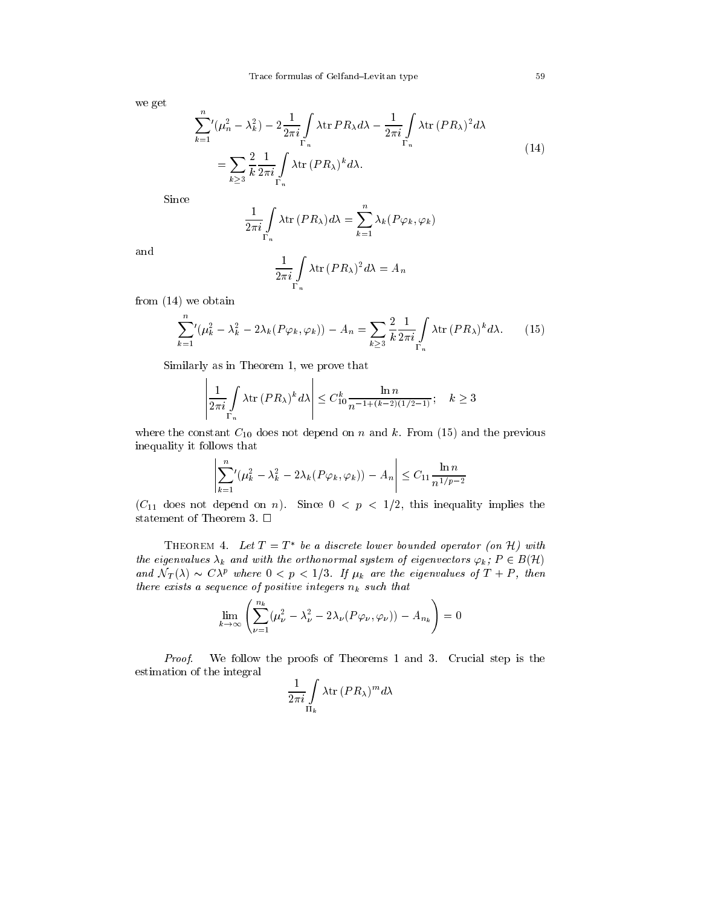we get

$$
\sum_{k=1}^{n} (\mu_n^2 - \lambda_k^2) - 2 \frac{1}{2\pi i} \int_{\Gamma_n} \lambda \text{tr} \, PR_{\lambda} d\lambda - \frac{1}{2\pi i} \int_{\Gamma_n} \lambda \text{tr} \, (PR_{\lambda})^2 d\lambda
$$
\n
$$
= \sum_{k \ge 3} \frac{2}{k} \frac{1}{2\pi i} \int_{\Gamma_n} \lambda \text{tr} \, (PR_{\lambda})^k d\lambda. \tag{14}
$$

Since

$$
\frac{1}{2\pi i} \int\limits_{\Gamma_n} \lambda \text{tr}(PR_\lambda) d\lambda = \sum_{k=1}^n \lambda_k (P\varphi_k, \varphi_k)
$$

and

$$
\frac{1}{2\pi i} \int\limits_{\Gamma_n} \lambda \text{tr}(PR_\lambda)^2 d\lambda = A_n
$$

from (14) we obtain

$$
\sum_{k=1}^{n} (\mu_k^2 - \lambda_k^2 - 2\lambda_k (P\varphi_k, \varphi_k)) - A_n = \sum_{k \ge 3} \frac{2}{k} \frac{1}{2\pi i} \int_{\Gamma_n} \lambda \text{tr}(PR_\lambda)^k d\lambda.
$$
 (15)

Similarly as in Theorem 1, we prove that

$$
\left|\frac{1}{2\pi i}\int\limits_{\Gamma_n}\lambda{\rm tr}\, (PR_\lambda)^k\,d\lambda\right|\le C_{10}^k\frac{\ln n}{{n^{-1+(k-2)(1/2-1)}}};\quad k\ge3
$$

where the constant  $C_{10}$  does not depend on n and k. From (15) and the previous inequality it follows that

$$
\left|\sum_{k=1}^n \left(\mu_k^2 - \lambda_k^2 - 2\lambda_k(P\varphi_k, \varphi_k)\right) - A_n\right| \le C_{11} \frac{\ln n}{n^{1/p-2}}
$$

 $(C_{11}$  does not depend on n). Since  $0 < p < 1/2$ , this inequality implies the statement of Theorem 3.  $\Box$ 

THEOREM 4. Let  $T = T^*$  be a discrete lower bounded operator (on H) with the eigenvalues  $\lambda_k$  and with the orthonormal system of eigenvectors  $\varphi_k;$   $P\in B(\mathcal{H})$ and  $N_T(\lambda) \sim C \lambda^p$  where  $0 \leq p \leq 1/3$ . If  $\mu_k$  are the eigenvalues of  $I + P$ , then there exists a sequence of positive integers nk such that

$$
\lim_{k \to \infty} \left( \sum_{\nu=1}^{n_k} (\mu_{\nu}^2 - \lambda_{\nu}^2 - 2\lambda_{\nu} (P\varphi_{\nu}, \varphi_{\nu})) - A_{n_k} \right) = 0
$$

Proof.We follow the proofs of Theorems 1 and 3. Crucial step is the estimation of the integral

$$
\frac{1}{2\pi i}\int\limits_{\Pi_k}\lambda{\rm tr}\,(PR_\lambda)^m d\lambda
$$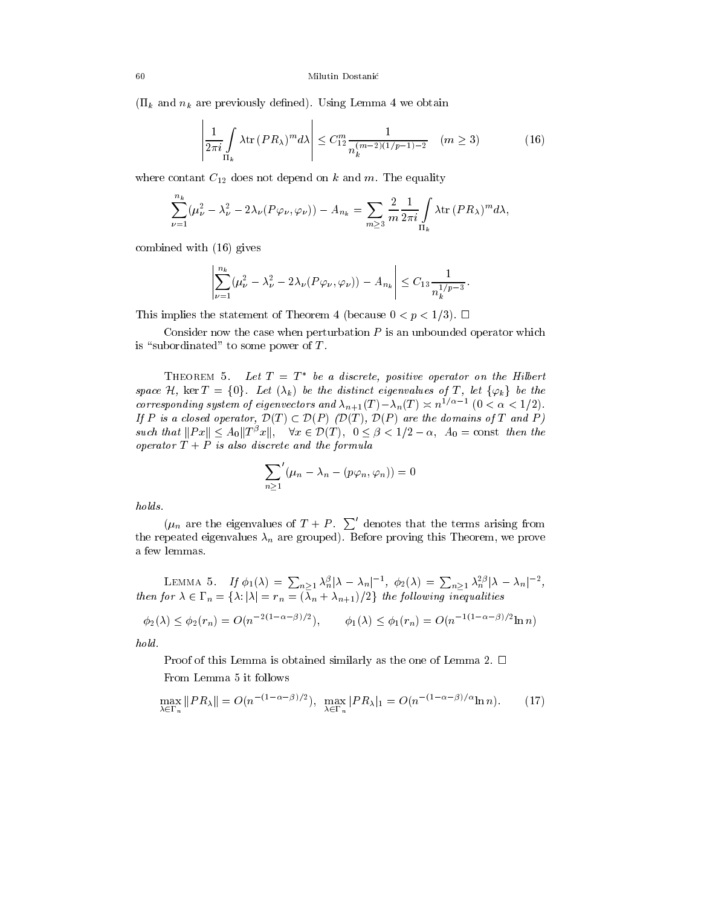the contract of the contract of the contract of the contract of the contract of

 $(\Pi_k$  and  $n_k$  are previously defined). Using Lemma 4 we obtain

$$
\left| \frac{1}{2\pi i} \int\limits_{\Pi_k} \lambda \text{tr} \left( PR_\lambda \right)^m d\lambda \right| \leq C_{12}^m \frac{1}{n_k^{(m-2)(1/p-1)-2}} \quad (m \geq 3) \tag{16}
$$

where contant  $C_{12}$  does not depend on k and m. The equality

$$
\sum_{\nu=1}^{n_k} (\mu_\nu^2 - \lambda_\nu^2 - 2 \lambda_\nu (P \varphi_\nu, \varphi_\nu)) - A_{n_k} = \sum_{m \geq 3} \frac{2}{m} \frac{1}{2 \pi i} \int\limits_{\Pi_k} \lambda \text{tr} \, (P R_\lambda)^m d\lambda,
$$

combined with (16) gives

the contract of the contract of the contract of the contract of the contract of

$$
\left| \sum_{\nu=1}^{n_k} (\mu_{\nu}^2 - \lambda_{\nu}^2 - 2\lambda_{\nu} (P\varphi_{\nu}, \varphi_{\nu})) - A_{n_k} \right| \leq C_{13} \frac{1}{n_k^{1/p-3}}.
$$

This implies the statement of Theorem 4 (because  $0 < p < 1/3$ ).  $\Box$ 

Consider now the case when perturbation  $P$  is an unbounded operator which is "subordinated" to some power of  $T$ .

THEOREM 5. Let  $T = T^*$  be a discrete, positive operator on the Hilbert space H, ker  $T = \{0\}$ . Let  $(\lambda_k)$  be the distinct eigenvalues of T, let  $\{\varphi_k\}$  be the corresponding system of eigenvectors and  $\lambda_{n+1}(T) - \lambda_n(T) \geq n^{1/2}$  and  $(0 \leq \alpha \leq 1/2)$ .  $-1$ presponding system of eigenvectors and  $\lambda_{n+1}(T) - \lambda_n(T) \asymp n^{1/\alpha - 1}$   $(0 < \alpha < 1/2)$ .<br>P is a closed operator,  $\mathcal{D}(T) \subset \mathcal{D}(P)$  (D(T),  $\mathcal{D}(P)$  are the domains of T and P) such that  $||Px|| \leq A_0||T^{\beta}x||$ ,  $\forall x \in \mathcal{D}(T)$ ,  $0 \leq \beta < 1/2 - \alpha$ ,  $A_0 = \text{const}$  then the closed operator,  $\mathcal{D}(T) \subset \mathcal{D}(P)$  ( $\mathcal{D}(T)$ ,  $\mathcal{D}(P)$  are the domains of T and P)<br> $||Px|| \leq A_0||T^{\beta}x||$ ,  $\forall x \in \mathcal{D}(T)$ ,  $0 \leq \beta < 1/2 - \alpha$ ,  $A_0 = \text{const}$  then the  $\sigma$  operator  $\bf{1}$   $\bf{1}$  is also discrete and the formula

$$
\sum_{n\geq 1}^{\prime}(\mu_n-\lambda_n-(p\varphi_n,\varphi_n))=0
$$

holds.

 $(\mu_n$  are the eigenvalues of  $T + P \sum'$  denotes that the terms arising from the repeated eigenvalues  $\lambda_n$  are grouped). Before proving this Theorem, we prove a few lemmas.

LEMMA 5. If  $\phi_1(\lambda) = \sum_{n>1} \lambda_n^{\beta} |\lambda - \lambda_n|^{-1}$ ,  $\phi_2(\lambda) = \sum_{n>1} \lambda_n^{2\beta} |\lambda - \lambda_n|^{-2}$ , then for  $\lambda \in \Gamma_n = \{\lambda : |\lambda| = \tau_n = (\lambda_n + \lambda_{n+1})/2\}$  the following inequalities

$$
\phi_2(\lambda) \leq \phi_2(r_n) = O(n^{-2(1-\alpha-\beta)/2}), \qquad \phi_1(\lambda) \leq \phi_1(r_n) = O(n^{-1(1-\alpha-\beta)/2}\ln n)
$$

hold.

Proof of this Lemma is obtained similarly as the one of Lemma 2.  $\Box$ From Lemma 5 it follows

$$
\max_{\lambda \in \Gamma_n} \|PR_{\lambda}\| = O(n^{-(1-\alpha-\beta)/2}), \quad \max_{\lambda \in \Gamma_n} |PR_{\lambda}|_1 = O(n^{-(1-\alpha-\beta)/\alpha} \ln n). \tag{17}
$$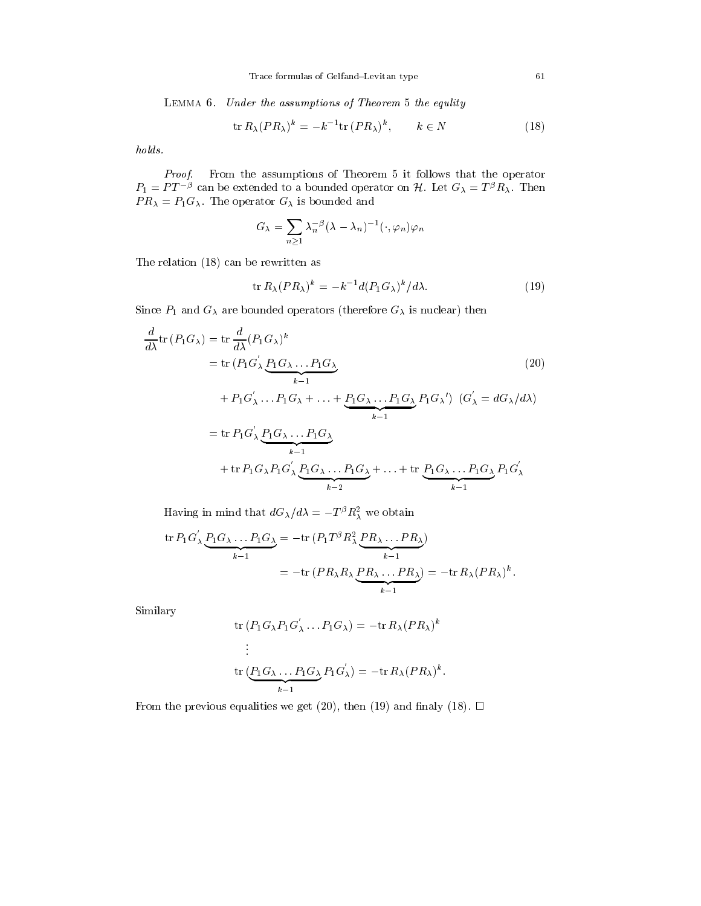Lemma 6. Under the assumptions of Theorem 5 the equlity

$$
\operatorname{tr} R_{\lambda} (PR_{\lambda})^k = -k^{-1} \operatorname{tr} (PR_{\lambda})^k, \qquad k \in N \tag{18}
$$

holds.

Proof. From the assumptions of Theorem 5 it follows that the operator  $P_1 \equiv P I^{-\kappa}$  can be extended to a bounded operator on  $H$ . Let  $G_\lambda \equiv I^{\kappa} R_\lambda$ . Then P R <sup>=</sup> P1G. The operator G is bounded and

$$
G_{\lambda} = \sum_{n \geq 1} \lambda_n^{-\beta} (\lambda - \lambda_n)^{-1} (\cdot, \varphi_n) \varphi_n
$$

The relation (18) can be rewritten as

$$
\operatorname{tr} R_{\lambda} (PR_{\lambda})^k = -k^{-1} d(P_1 G_{\lambda})^k / d\lambda. \tag{19}
$$

Since  $P_1$  and  $G_\lambda$  are bounded operators (therefore  $G_\lambda$  is nuclear) then

$$
\frac{d}{d\lambda} \text{tr}(P_1 G_\lambda) = \text{tr} \frac{d}{d\lambda} (P_1 G_\lambda)^k
$$
\n
$$
= \text{tr}(P_1 G_\lambda' \underbrace{P_1 G_\lambda \dots P_1 G_\lambda}_{k-1} + P_1 G_\lambda' \dots P_1 G_\lambda + \dots + \underbrace{P_1 G_\lambda \dots P_1 G_\lambda}_{k-1} P_1 G_\lambda' \quad (G_\lambda' = dG_\lambda/d\lambda)
$$
\n
$$
= \text{tr} P_1 G_\lambda' \underbrace{P_1 G_\lambda \dots P_1 G_\lambda}_{k-1}
$$
\n
$$
+ \text{tr} P_1 G_\lambda P_1 G_\lambda' \underbrace{P_1 G_\lambda \dots P_1 G_\lambda}_{k-2} + \dots + \text{tr} \underbrace{P_1 G_\lambda \dots P_1 G_\lambda}_{k-1} P_1 G_\lambda'
$$
\n
$$
(20)
$$

Having in mind that  $aG_\lambda/a\lambda = -1^{\circ}R_{\lambda}^+$  we obtain

$$
\operatorname{tr} P_1 G_\lambda' \underbrace{P_1 G_\lambda \dots P_1 G_\lambda}_{k-1} = -\operatorname{tr} (P_1 T^\beta R_\lambda^2 \underbrace{P R_\lambda \dots P R_\lambda}_{k-1})
$$
  
= 
$$
-\operatorname{tr} (P R_\lambda R_\lambda \underbrace{P R_\lambda \dots P R_\lambda}_{k-1}) = -\operatorname{tr} R_\lambda (P R_\lambda)^k.
$$

Similary

tr 
$$
(P_1 G_\lambda P_1 G'_\lambda \dots P_1 G_\lambda) = -\text{tr } R_\lambda (P R_\lambda)^k
$$
  
\n:  
\ntr  $(P_1 G_\lambda \dots P_1 G_\lambda P_1 G'_\lambda) = -\text{tr } R_\lambda (P R_\lambda)^k$ .

From the previous equalities we get (20), then (19) and finaly (18).  $\Box$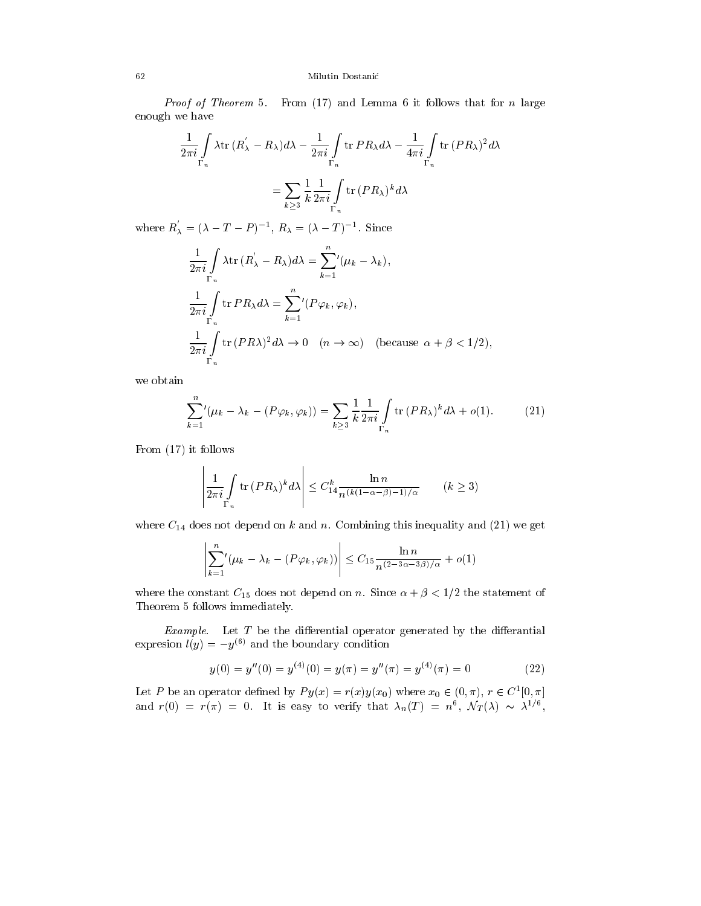### 62 Milutin Dostanic

Proof of Theorem 5. From (17) and Lemma 6 it follows that for n large enough we have

$$
\frac{1}{2\pi i} \int_{\Gamma_n} \lambda \text{tr} \, (R_\lambda^{'} - R_\lambda) d\lambda - \frac{1}{2\pi i} \int_{\Gamma_n} \text{tr} \, P R_\lambda d\lambda - \frac{1}{4\pi i} \int_{\Gamma_n} \text{tr} \, (P R_\lambda)^2 d\lambda
$$
\n
$$
= \sum_{k \ge 3} \frac{1}{k} \frac{1}{2\pi i} \int_{\Gamma_n} \text{tr} \, (P R_\lambda)^k d\lambda
$$

where  $R_{\lambda} = (\lambda - T - P)^{-1}$ ,  $R_{\lambda} = (\lambda - T)^{-1}$ . Since

$$
\frac{1}{2\pi i} \int_{\Gamma_n} \lambda \text{tr} \, (R_\lambda' - R_\lambda) d\lambda = \sum_{k=1}^n \langle (\mu_k - \lambda_k),
$$
\n
$$
\frac{1}{2\pi i} \int_{\Gamma_n} \text{tr} \, P R_\lambda d\lambda = \sum_{k=1}^n \langle P \varphi_k, \varphi_k \rangle,
$$
\n
$$
\frac{1}{2\pi i} \int_{\Gamma_n} \text{tr} \, (P R \lambda)^2 d\lambda \to 0 \quad (n \to \infty) \quad \text{(because } \alpha + \beta < 1/2),
$$

we obtain

$$
\sum_{k=1}^{n} (\mu_k - \lambda_k - (P\varphi_k, \varphi_k)) = \sum_{k \ge 3} \frac{1}{k} \frac{1}{2\pi i} \int_{\Gamma_n} \text{tr}(PR_\lambda)^k d\lambda + o(1).
$$
 (21)

From (17) it follows

$$
\left|\frac{1}{2\pi i}\int\limits_{\Gamma_n}\text{tr}\,(PR_\lambda)^k d\lambda\right| \leq C_{14}^k \frac{\ln n}{n^{(k(1-\alpha-\beta)-1)/\alpha}} \qquad (k \geq 3)
$$

where  $C_{14}$  does not depend on k and n. Combining this inequality and (21) we get

$$
\left|\sum_{k=1}^n \left(\mu_k - \lambda_k - (P\varphi_k, \varphi_k)\right)\right| \le C_{15} \frac{\ln n}{n^{(2-3\alpha-3\beta)/\alpha}} + o(1)
$$

where the constant  $C_{15}$  does not depend on n. Since  $\alpha + \beta < 1/2$  the statement of Theorem 5 follows immediately.

Example. Let  $T$  be the differential operator generated by the differential expresion  $l(y) = -y^{(6)}$  and the boundary condition

$$
y(0) = y''(0) = y^{(4)}(0) = y(\pi) = y''(\pi) = y^{(4)}(\pi) = 0
$$
\n(22)

Let P be an operator defined by  $Py(x) = r(x)y(x_0)$  where  $x_0 \in (0, \pi), r \in C$  [0,  $\pi$ ] and  $r(0) = r(\pi) = 0$ . It is easy to verify that  $\lambda_n(T) = n^*, \ N_T(\lambda) \sim \lambda^{2/5},$